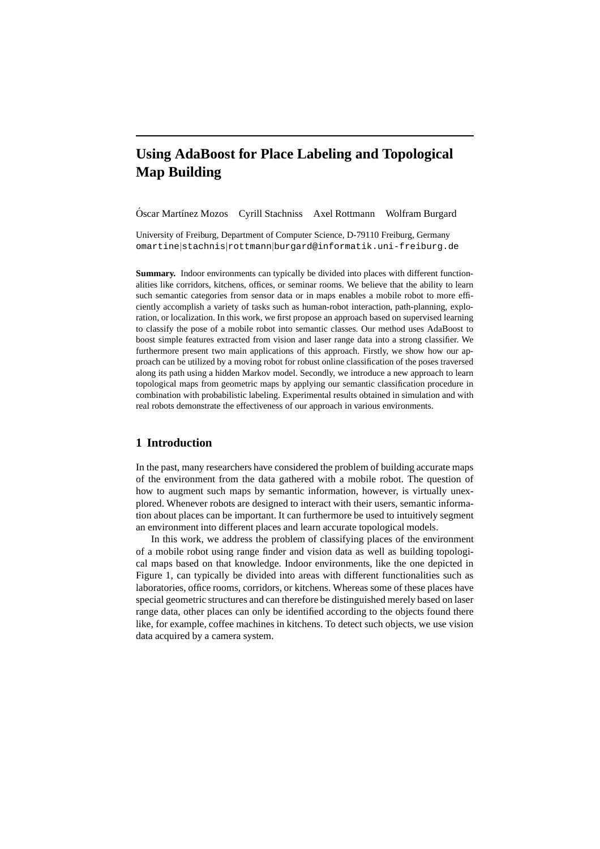# **Using AdaBoost for Place Labeling and Topological Map Building**

Óscar Martínez Mozos Cyrill Stachniss Axel Rottmann Wolfram Burgard

University of Freiburg, Department of Computer Science, D-79110 Freiburg, Germany omartine|stachnis|rottmann|burgard@informatik.uni-freiburg.de

**Summary.** Indoor environments can typically be divided into places with different functionalities like corridors, kitchens, offices, or seminar rooms. We believe that the ability to learn such semantic categories from sensor data or in maps enables a mobile robot to more efficiently accomplish a variety of tasks such as human-robot interaction, path-planning, exploration, or localization. In this work, we first propose an approach based on supervised learning to classify the pose of a mobile robot into semantic classes. Our method uses AdaBoost to boost simple features extracted from vision and laser range data into a strong classifier. We furthermore present two main applications of this approach. Firstly, we show how our approach can be utilized by a moving robot for robust online classification of the poses traversed along its path using a hidden Markov model. Secondly, we introduce a new approach to learn topological maps from geometric maps by applying our semantic classification procedure in combination with probabilistic labeling. Experimental results obtained in simulation and with real robots demonstrate the effectiveness of our approach in various environments.

## **1 Introduction**

In the past, many researchers have considered the problem of building accurate maps of the environment from the data gathered with a mobile robot. The question of how to augment such maps by semantic information, however, is virtually unexplored. Whenever robots are designed to interact with their users, semantic information about places can be important. It can furthermore be used to intuitively segment an environment into different places and learn accurate topological models.

In this work, we address the problem of classifying places of the environment of a mobile robot using range finder and vision data as well as building topological maps based on that knowledge. Indoor environments, like the one depicted in Figure 1, can typically be divided into areas with different functionalities such as laboratories, office rooms, corridors, or kitchens. Whereas some of these places have special geometric structures and can therefore be distinguished merely based on laser range data, other places can only be identified according to the objects found there like, for example, coffee machines in kitchens. To detect such objects, we use vision data acquired by a camera system.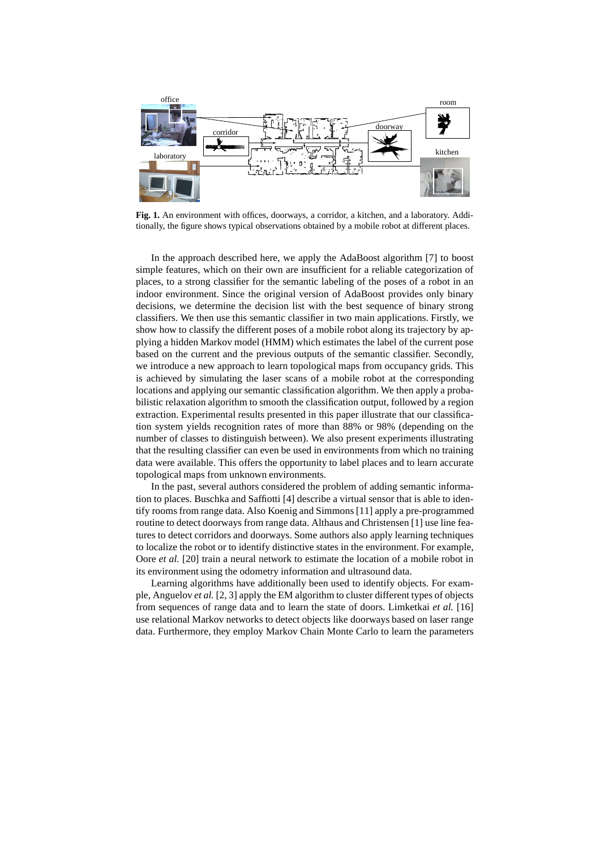

**Fig. 1.** An environment with offices, doorways, a corridor, a kitchen, and a laboratory. Additionally, the figure shows typical observations obtained by a mobile robot at different places.

In the approach described here, we apply the AdaBoost algorithm [7] to boost simple features, which on their own are insufficient for a reliable categorization of places, to a strong classifier for the semantic labeling of the poses of a robot in an indoor environment. Since the original version of AdaBoost provides only binary decisions, we determine the decision list with the best sequence of binary strong classifiers. We then use this semantic classifier in two main applications. Firstly, we show how to classify the different poses of a mobile robot along its trajectory by applying a hidden Markov model (HMM) which estimates the label of the current pose based on the current and the previous outputs of the semantic classifier. Secondly, we introduce a new approach to learn topological maps from occupancy grids. This is achieved by simulating the laser scans of a mobile robot at the corresponding locations and applying our semantic classification algorithm. We then apply a probabilistic relaxation algorithm to smooth the classification output, followed by a region extraction. Experimental results presented in this paper illustrate that our classification system yields recognition rates of more than 88% or 98% (depending on the number of classes to distinguish between). We also present experiments illustrating that the resulting classifier can even be used in environments from which no training data were available. This offers the opportunity to label places and to learn accurate topological maps from unknown environments.

In the past, several authors considered the problem of adding semantic information to places. Buschka and Saffiotti [4] describe a virtual sensor that is able to identify rooms from range data. Also Koenig and Simmons [11] apply a pre-programmed routine to detect doorways from range data. Althaus and Christensen [1] use line features to detect corridors and doorways. Some authors also apply learning techniques to localize the robot or to identify distinctive states in the environment. For example, Oore *et al.* [20] train a neural network to estimate the location of a mobile robot in its environment using the odometry information and ultrasound data.

Learning algorithms have additionally been used to identify objects. For example, Anguelov *et al.* [2, 3] apply the EM algorithm to cluster different types of objects from sequences of range data and to learn the state of doors. Limketkai *et al.* [16] use relational Markov networks to detect objects like doorways based on laser range data. Furthermore, they employ Markov Chain Monte Carlo to learn the parameters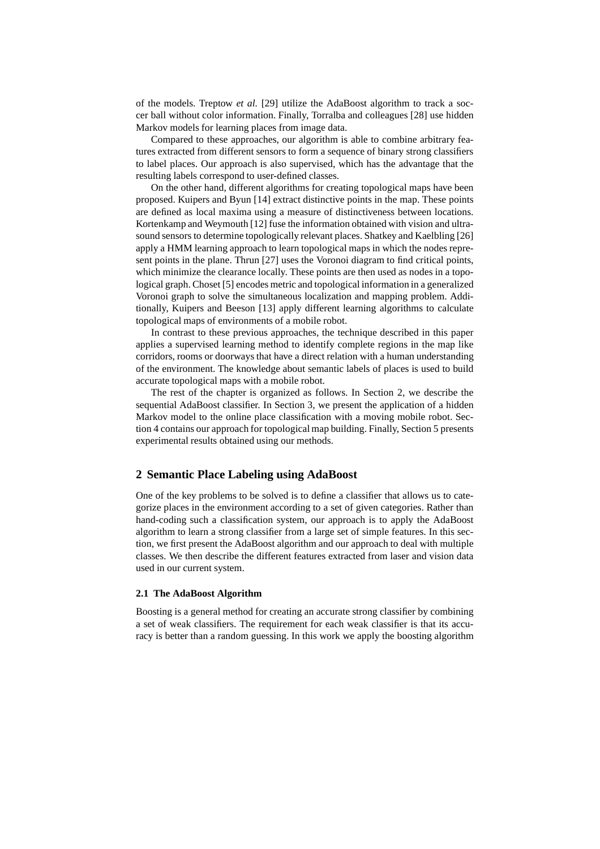of the models. Treptow *et al.* [29] utilize the AdaBoost algorithm to track a soccer ball without color information. Finally, Torralba and colleagues [28] use hidden Markov models for learning places from image data.

Compared to these approaches, our algorithm is able to combine arbitrary features extracted from different sensors to form a sequence of binary strong classifiers to label places. Our approach is also supervised, which has the advantage that the resulting labels correspond to user-defined classes.

On the other hand, different algorithms for creating topological maps have been proposed. Kuipers and Byun [14] extract distinctive points in the map. These points are defined as local maxima using a measure of distinctiveness between locations. Kortenkamp and Weymouth [12] fuse the information obtained with vision and ultrasound sensors to determine topologically relevant places. Shatkey and Kaelbling [26] apply a HMM learning approach to learn topological maps in which the nodes represent points in the plane. Thrun [27] uses the Voronoi diagram to find critical points, which minimize the clearance locally. These points are then used as nodes in a topological graph. Choset [5] encodes metric and topological information in a generalized Voronoi graph to solve the simultaneous localization and mapping problem. Additionally, Kuipers and Beeson [13] apply different learning algorithms to calculate topological maps of environments of a mobile robot.

In contrast to these previous approaches, the technique described in this paper applies a supervised learning method to identify complete regions in the map like corridors, rooms or doorways that have a direct relation with a human understanding of the environment. The knowledge about semantic labels of places is used to build accurate topological maps with a mobile robot.

The rest of the chapter is organized as follows. In Section 2, we describe the sequential AdaBoost classifier. In Section 3, we present the application of a hidden Markov model to the online place classification with a moving mobile robot. Section 4 contains our approach for topological map building. Finally, Section 5 presents experimental results obtained using our methods.

#### **2 Semantic Place Labeling using AdaBoost**

One of the key problems to be solved is to define a classifier that allows us to categorize places in the environment according to a set of given categories. Rather than hand-coding such a classification system, our approach is to apply the AdaBoost algorithm to learn a strong classifier from a large set of simple features. In this section, we first present the AdaBoost algorithm and our approach to deal with multiple classes. We then describe the different features extracted from laser and vision data used in our current system.

#### **2.1 The AdaBoost Algorithm**

Boosting is a general method for creating an accurate strong classifier by combining a set of weak classifiers. The requirement for each weak classifier is that its accuracy is better than a random guessing. In this work we apply the boosting algorithm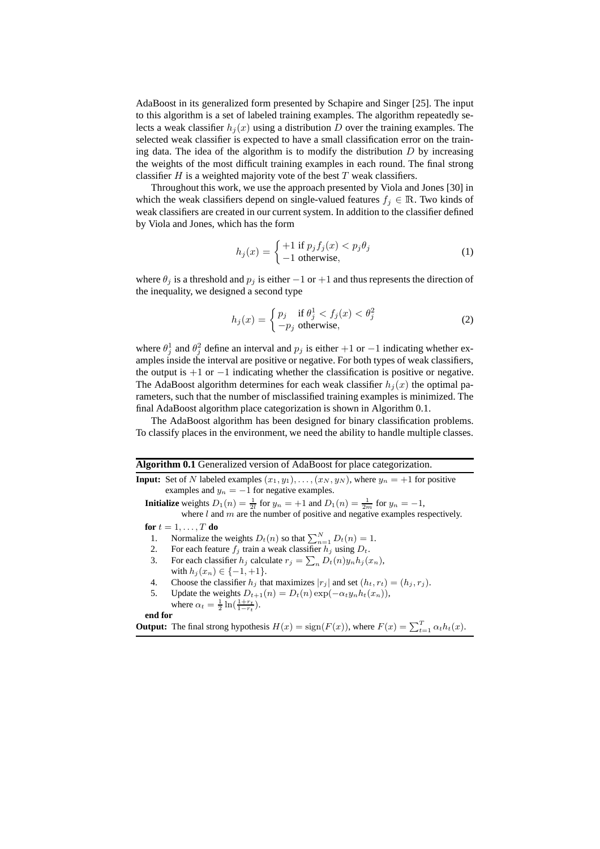AdaBoost in its generalized form presented by Schapire and Singer [25]. The input to this algorithm is a set of labeled training examples. The algorithm repeatedly selects a weak classifier  $h_i(x)$  using a distribution D over the training examples. The selected weak classifier is expected to have a small classification error on the training data. The idea of the algorithm is to modify the distribution  $D$  by increasing the weights of the most difficult training examples in each round. The final strong classifier  $H$  is a weighted majority vote of the best  $T$  weak classifiers.

Throughout this work, we use the approach presented by Viola and Jones [30] in which the weak classifiers depend on single-valued features  $f_j \in \mathbb{R}$ . Two kinds of weak classifiers are created in our current system. In addition to the classifier defined by Viola and Jones, which has the form

$$
h_j(x) = \begin{cases} +1 \text{ if } p_j f_j(x) < p_j \theta_j \\ -1 \text{ otherwise,} \end{cases} \tag{1}
$$

where  $\theta_i$  is a threshold and  $p_i$  is either −1 or +1 and thus represents the direction of the inequality, we designed a second type

$$
h_j(x) = \begin{cases} p_j & \text{if } \theta_j^1 < f_j(x) < \theta_j^2 \\ -p_j & \text{otherwise,} \end{cases} \tag{2}
$$

where  $\theta_j^1$  and  $\theta_j^2$  define an interval and  $p_j$  is either +1 or -1 indicating whether examples inside the interval are positive or negative. For both types of weak classifiers, the output is  $+1$  or  $-1$  indicating whether the classification is positive or negative. The AdaBoost algorithm determines for each weak classifier  $h_i(x)$  the optimal parameters, such that the number of misclassified training examples is minimized. The final AdaBoost algorithm place categorization is shown in Algorithm 0.1.

The AdaBoost algorithm has been designed for binary classification problems. To classify places in the environment, we need the ability to handle multiple classes.

#### **Algorithm 0.1** Generalized version of AdaBoost for place categorization.

**Input:** Set of N labeled examples  $(x_1, y_1), \ldots, (x_N, y_N)$ , where  $y_n = +1$  for positive examples and  $y_n = -1$  for negative examples.

**Initialize** weights  $D_1(n) = \frac{1}{2l}$  for  $y_n = +1$  and  $D_1(n) = \frac{1}{2m}$  for  $y_n = -1$ ,

where  $l$  and  $m$  are the number of positive and negative examples respectively. **for**  $t = 1, \ldots, T$  **do** 

- 1. Normalize the weights  $D_t(n)$  so that  $\sum_{n=1}^{N} D_t(n) = 1$ .
- 2. For each feature  $f_j$  train a weak classifier  $h_j$  using  $D_t$ .
- 3. For each classifier  $h_j$  calculate  $r_j = \sum_n D_t(n) y_n h_j(x_n)$ , with  $h_j(x_n) \in \{-1, +1\}.$
- 4. Choose the classifier  $h_j$  that maximizes  $|r_j|$  and set  $(h_t, r_t) = (h_j, r_j)$ .
- 5. Update the weights  $D_{t+1}(n) = D_t(n) \exp(-\alpha_t y_n h_t(x_n)),$
- where  $\alpha_t = \frac{1}{2} \ln(\frac{1+r_t}{1-r_t}).$

**end for**

**Output:** The final strong hypothesis  $H(x) = sign(F(x))$ , where  $F(x) = \sum_{t=1}^{T} \alpha_t h_t(x)$ .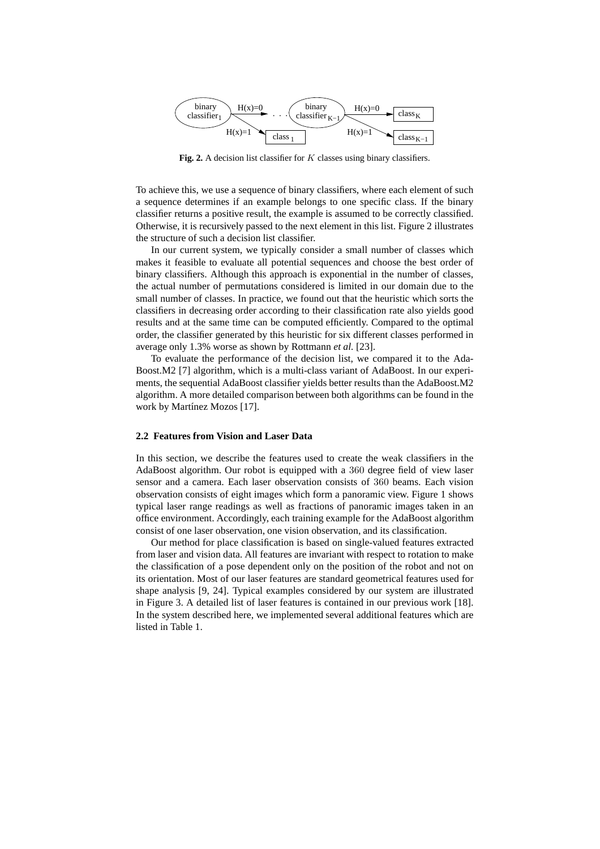

Fig. 2. A decision list classifier for K classes using binary classifiers.

To achieve this, we use a sequence of binary classifiers, where each element of such a sequence determines if an example belongs to one specific class. If the binary classifier returns a positive result, the example is assumed to be correctly classified. Otherwise, it is recursively passed to the next element in this list. Figure 2 illustrates the structure of such a decision list classifier.

In our current system, we typically consider a small number of classes which makes it feasible to evaluate all potential sequences and choose the best order of binary classifiers. Although this approach is exponential in the number of classes, the actual number of permutations considered is limited in our domain due to the small number of classes. In practice, we found out that the heuristic which sorts the classifiers in decreasing order according to their classification rate also yields good results and at the same time can be computed efficiently. Compared to the optimal order, the classifier generated by this heuristic for six different classes performed in average only 1.3% worse as shown by Rottmann *et al.* [23].

To evaluate the performance of the decision list, we compared it to the Ada-Boost.M2 [7] algorithm, which is a multi-class variant of AdaBoost. In our experiments, the sequential AdaBoost classifier yields better results than the AdaBoost.M2 algorithm. A more detailed comparison between both algorithms can be found in the work by Martínez Mozos [17].

### **2.2 Features from Vision and Laser Data**

In this section, we describe the features used to create the weak classifiers in the AdaBoost algorithm. Our robot is equipped with a 360 degree field of view laser sensor and a camera. Each laser observation consists of 360 beams. Each vision observation consists of eight images which form a panoramic view. Figure 1 shows typical laser range readings as well as fractions of panoramic images taken in an office environment. Accordingly, each training example for the AdaBoost algorithm consist of one laser observation, one vision observation, and its classification.

Our method for place classification is based on single-valued features extracted from laser and vision data. All features are invariant with respect to rotation to make the classification of a pose dependent only on the position of the robot and not on its orientation. Most of our laser features are standard geometrical features used for shape analysis [9, 24]. Typical examples considered by our system are illustrated in Figure 3. A detailed list of laser features is contained in our previous work [18]. In the system described here, we implemented several additional features which are listed in Table 1.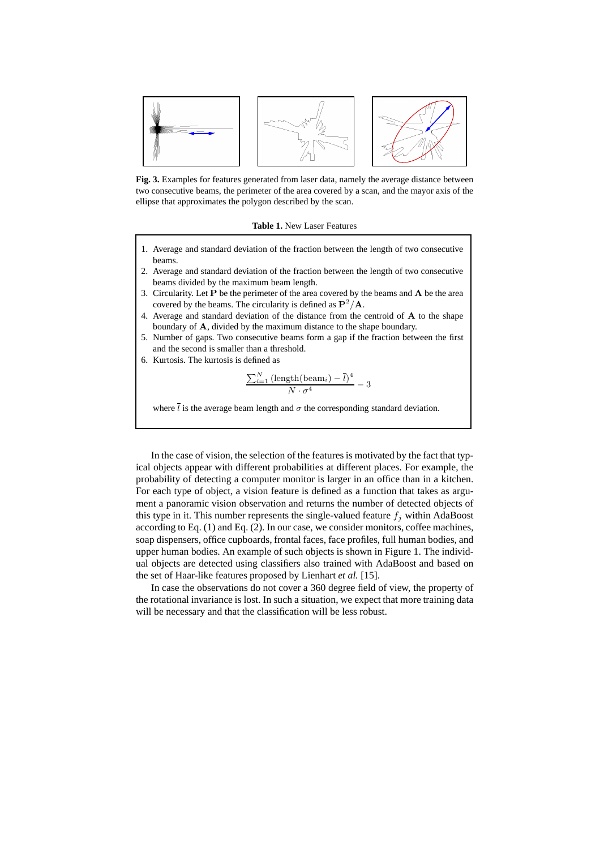

**Fig. 3.** Examples for features generated from laser data, namely the average distance between two consecutive beams, the perimeter of the area covered by a scan, and the mayor axis of the ellipse that approximates the polygon described by the scan.

#### **Table 1.** New Laser Features

- 1. Average and standard deviation of the fraction between the length of two consecutive beams.
- 2. Average and standard deviation of the fraction between the length of two consecutive beams divided by the maximum beam length.
- 3. Circularity. Let  $P$  be the perimeter of the area covered by the beams and  $A$  be the area covered by the beams. The circularity is defined as  $\mathbf{P}^2/\mathbf{A}$ .
- 4. Average and standard deviation of the distance from the centroid of A to the shape boundary of A, divided by the maximum distance to the shape boundary.
- 5. Number of gaps. Two consecutive beams form a gap if the fraction between the first and the second is smaller than a threshold.
- 6. Kurtosis. The kurtosis is defined as

$$
\frac{\sum_{i=1}^{N} (\text{length}(\text{beam}_{i}) - \bar{l})^4}{N \cdot \sigma^4} - 3
$$

where  $\bar{l}$  is the average beam length and  $\sigma$  the corresponding standard deviation.

In the case of vision, the selection of the features is motivated by the fact that typical objects appear with different probabilities at different places. For example, the probability of detecting a computer monitor is larger in an office than in a kitchen. For each type of object, a vision feature is defined as a function that takes as argument a panoramic vision observation and returns the number of detected objects of this type in it. This number represents the single-valued feature  $f_i$  within AdaBoost according to Eq. (1) and Eq. (2). In our case, we consider monitors, coffee machines, soap dispensers, office cupboards, frontal faces, face profiles, full human bodies, and upper human bodies. An example of such objects is shown in Figure 1. The individual objects are detected using classifiers also trained with AdaBoost and based on the set of Haar-like features proposed by Lienhart *et al.* [15].

In case the observations do not cover a 360 degree field of view, the property of the rotational invariance is lost. In such a situation, we expect that more training data will be necessary and that the classification will be less robust.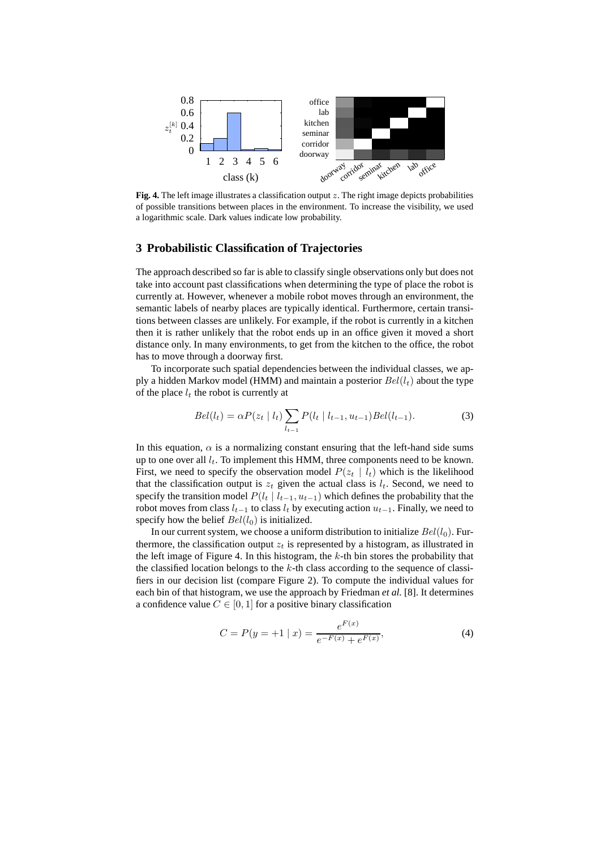

**Fig. 4.** The left image illustrates a classification output z. The right image depicts probabilities of possible transitions between places in the environment. To increase the visibility, we used a logarithmic scale. Dark values indicate low probability.

# **3 Probabilistic Classification of Trajectories**

The approach described so far is able to classify single observations only but does not take into account past classifications when determining the type of place the robot is currently at. However, whenever a mobile robot moves through an environment, the semantic labels of nearby places are typically identical. Furthermore, certain transitions between classes are unlikely. For example, if the robot is currently in a kitchen then it is rather unlikely that the robot ends up in an office given it moved a short distance only. In many environments, to get from the kitchen to the office, the robot has to move through a doorway first.

To incorporate such spatial dependencies between the individual classes, we apply a hidden Markov model (HMM) and maintain a posterior  $Bel(l<sub>t</sub>)$  about the type of the place  $l_t$  the robot is currently at

$$
Bel(l_t) = \alpha P(z_t \mid l_t) \sum_{l_{t-1}} P(l_t \mid l_{t-1}, u_{t-1}) Bel(l_{t-1}).
$$
\n(3)

In this equation,  $\alpha$  is a normalizing constant ensuring that the left-hand side sums up to one over all  $l_t$ . To implement this HMM, three components need to be known. First, we need to specify the observation model  $P(z_t | l_t)$  which is the likelihood that the classification output is  $z_t$  given the actual class is  $l_t$ . Second, we need to specify the transition model  $P(l_t | l_{t-1}, u_{t-1})$  which defines the probability that the robot moves from class  $l_{t-1}$  to class  $l_t$  by executing action  $u_{t-1}$ . Finally, we need to specify how the belief  $Bel(l_0)$  is initialized.

In our current system, we choose a uniform distribution to initialize  $Bel(l_0)$ . Furthermore, the classification output  $z_t$  is represented by a histogram, as illustrated in the left image of Figure 4. In this histogram, the  $k$ -th bin stores the probability that the classified location belongs to the  $k$ -th class according to the sequence of classifiers in our decision list (compare Figure 2). To compute the individual values for each bin of that histogram, we use the approach by Friedman *et al.* [8]. It determines a confidence value  $C \in [0, 1]$  for a positive binary classification

$$
C = P(y = +1 | x) = \frac{e^{F(x)}}{e^{-F(x)} + e^{F(x)}},
$$
\n(4)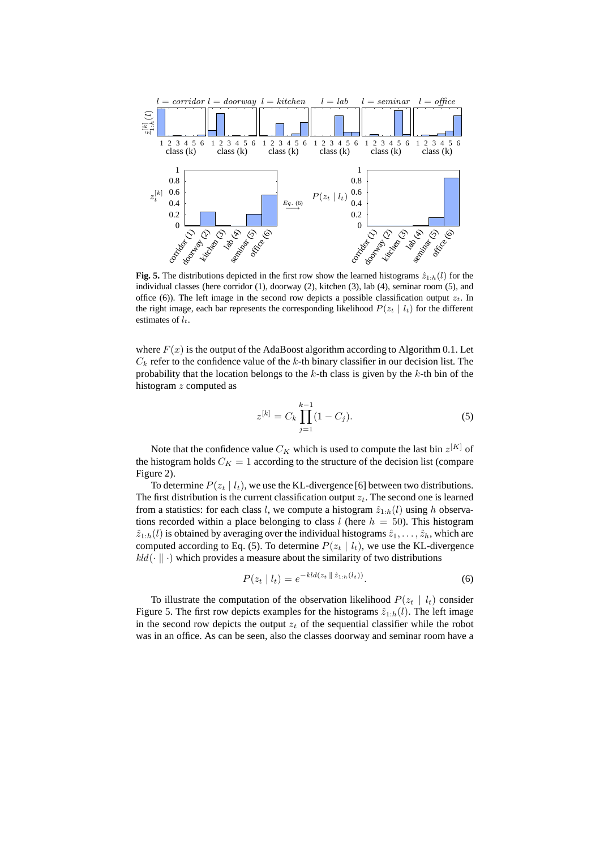

**Fig. 5.** The distributions depicted in the first row show the learned histograms  $\hat{z}_{1:h}(l)$  for the individual classes (here corridor (1), doorway (2), kitchen (3), lab (4), seminar room (5), and office (6)). The left image in the second row depicts a possible classification output  $z_t$ . In the right image, each bar represents the corresponding likelihood  $P(z_t | l_t)$  for the different estimates of  $l_t$ .

where  $F(x)$  is the output of the AdaBoost algorithm according to Algorithm 0.1. Let  $C_k$  refer to the confidence value of the k-th binary classifier in our decision list. The probability that the location belongs to the  $k$ -th class is given by the  $k$ -th bin of the histogram z computed as

$$
z^{[k]} = C_k \prod_{j=1}^{k-1} (1 - C_j).
$$
 (5)

Note that the confidence value  $C_K$  which is used to compute the last bin  $z^{[K]}$  of the histogram holds  $C_K = 1$  according to the structure of the decision list (compare Figure 2).

To determine  $P(z_t | l_t)$ , we use the KL-divergence [6] between two distributions. The first distribution is the current classification output  $z_t$ . The second one is learned from a statistics: for each class l, we compute a histogram  $\hat{z}_{1:h}(l)$  using h observations recorded within a place belonging to class  $l$  (here  $h = 50$ ). This histogram  $\hat{z}_{1:h}(l)$  is obtained by averaging over the individual histograms  $\hat{z}_1, \ldots, \hat{z}_h$ , which are computed according to Eq. (5). To determine  $P(z_t | l_t)$ , we use the KL-divergence  $kld(\cdot \parallel \cdot)$  which provides a measure about the similarity of two distributions

$$
P(z_t | l_t) = e^{-kld(z_t | \hat{z}_{1:h}(l_t))}.
$$
 (6)

To illustrate the computation of the observation likelihood  $P(z_t | l_t)$  consider Figure 5. The first row depicts examples for the histograms  $\hat{z}_{1:h}(l)$ . The left image in the second row depicts the output  $z_t$  of the sequential classifier while the robot was in an office. As can be seen, also the classes doorway and seminar room have a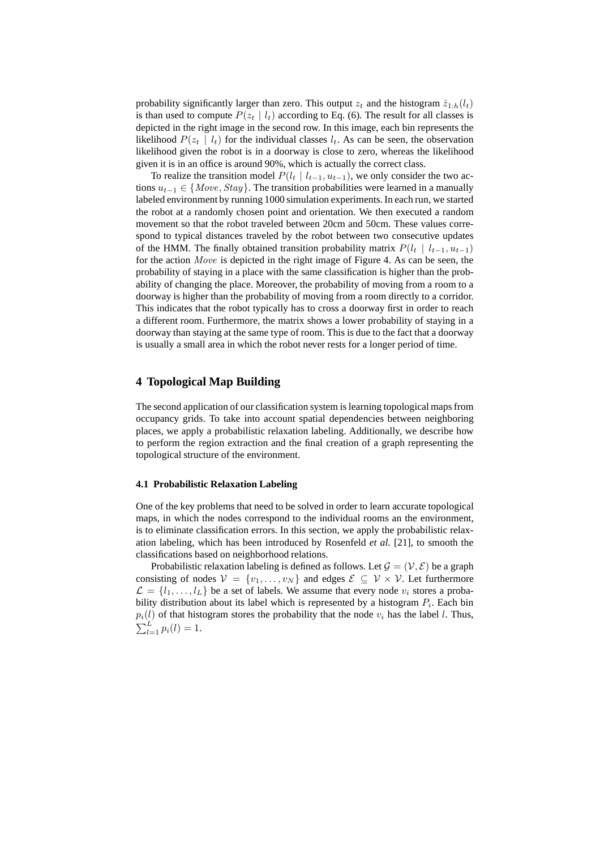probability significantly larger than zero. This output  $z_t$  and the histogram  $\hat{z}_{1:h}(l_t)$ is than used to compute  $P(z_t | l_t)$  according to Eq. (6). The result for all classes is depicted in the right image in the second row. In this image, each bin represents the likelihood  $P(z_t | l_t)$  for the individual classes  $l_t$ . As can be seen, the observation likelihood given the robot is in a doorway is close to zero, whereas the likelihood given it is in an office is around 90%, which is actually the correct class.

To realize the transition model  $P(l_t | l_{t-1}, u_{t-1})$ , we only consider the two actions  $u_{t-1} \in \{Move,Stay\}$ . The transition probabilities were learned in a manually labeled environment by running 1000 simulation experiments. In each run, we started the robot at a randomly chosen point and orientation. We then executed a random movement so that the robot traveled between 20cm and 50cm. These values correspond to typical distances traveled by the robot between two consecutive updates of the HMM. The finally obtained transition probability matrix  $P(l_t | l_{t-1}, u_{t-1})$ for the action Move is depicted in the right image of Figure 4. As can be seen, the probability of staying in a place with the same classification is higher than the probability of changing the place. Moreover, the probability of moving from a room to a doorway is higher than the probability of moving from a room directly to a corridor. This indicates that the robot typically has to cross a doorway first in order to reach a different room. Furthermore, the matrix shows a lower probability of staying in a doorway than staying at the same type of room. This is due to the fact that a doorway is usually a small area in which the robot never rests for a longer period of time.

# **4 Topological Map Building**

The second application of our classification system is learning topological maps from occupancy grids. To take into account spatial dependencies between neighboring places, we apply a probabilistic relaxation labeling. Additionally, we describe how to perform the region extraction and the final creation of a graph representing the topological structure of the environment.

#### **4.1 Probabilistic Relaxation Labeling**

One of the key problems that need to be solved in order to learn accurate topological maps, in which the nodes correspond to the individual rooms an the environment, is to eliminate classification errors. In this section, we apply the probabilistic relaxation labeling, which has been introduced by Rosenfeld *et al.* [21], to smooth the classifications based on neighborhood relations.

Probabilistic relaxation labeling is defined as follows. Let  $\mathcal{G} = (\mathcal{V}, \mathcal{E})$  be a graph consisting of nodes  $V = \{v_1, \ldots, v_N\}$  and edges  $\mathcal{E} \subseteq V \times V$ . Let furthermore  $\mathcal{L} = \{l_1, \ldots, l_L\}$  be a set of labels. We assume that every node  $v_i$  stores a probability distribution about its label which is represented by a histogram  $P_i$ . Each bin  $p_i(l)$  of that histogram stores the probability that the node  $v_i$  has the label l. Thus,  $\sum_{l=1}^{L} p_i(l) = 1.$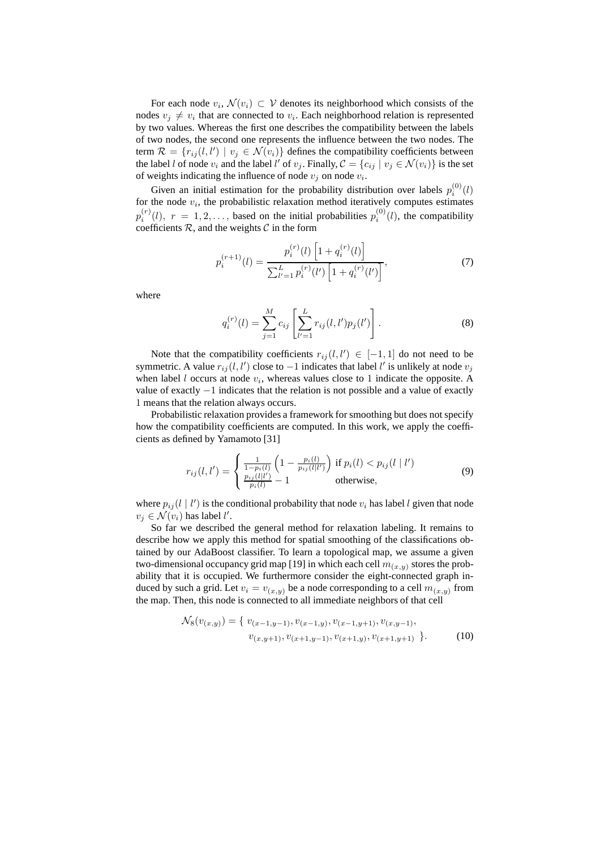For each node  $v_i$ ,  $\mathcal{N}(v_i) \subset \mathcal{V}$  denotes its neighborhood which consists of the nodes  $v_j \neq v_i$  that are connected to  $v_i$ . Each neighborhood relation is represented by two values. Whereas the first one describes the compatibility between the labels of two nodes, the second one represents the influence between the two nodes. The term  $\mathcal{R} = \{r_{ij}(l, l') \mid v_j \in \mathcal{N}(v_i)\}\$ defines the compatibility coefficients between the label *l* of node  $v_i$  and the label *l'* of  $v_j$ . Finally,  $C = \{c_{ij} \mid v_j \in \mathcal{N}(v_i)\}$  is the set of weights indicating the influence of node  $v_j$  on node  $v_i$ .

Given an initial estimation for the probability distribution over labels  $p_i^{(0)}(l)$ for the node  $v_i$ , the probabilistic relaxation method iteratively computes estimates  $p_i^{(r)}(l)$ ,  $r = 1, 2, \ldots$ , based on the initial probabilities  $p_i^{(0)}(l)$ , the compatibility coefficients  $R$ , and the weights  $C$  in the form

$$
p_i^{(r+1)}(l) = \frac{p_i^{(r)}(l)\left[1 + q_i^{(r)}(l)\right]}{\sum_{l'=1}^{L} p_i^{(r)}(l')\left[1 + q_i^{(r)}(l')\right]},\tag{7}
$$

where

$$
q_i^{(r)}(l) = \sum_{j=1}^{M} c_{ij} \left[ \sum_{l'=1}^{L} r_{ij}(l, l') p_j(l') \right]. \tag{8}
$$

Note that the compatibility coefficients  $r_{ij}(l, l') \in [-1, 1]$  do not need to be symmetric. A value  $r_{ij}(l, l')$  close to  $-1$  indicates that label  $l'$  is unlikely at node  $v_j$ when label  $l$  occurs at node  $v_i$ , whereas values close to 1 indicate the opposite. A value of exactly  $-1$  indicates that the relation is not possible and a value of exactly 1 means that the relation always occurs.

Probabilistic relaxation provides a framework for smoothing but does not specify how the compatibility coefficients are computed. In this work, we apply the coefficients as defined by Yamamoto [31]

$$
r_{ij}(l,l') = \begin{cases} \frac{1}{1-p_i(l)} \left(1 - \frac{p_i(l)}{p_{ij}(l|l')}\right) \text{ if } p_i(l) < p_{ij}(l \mid l')\\ \frac{p_{ij}(l|l')}{p_i(l)} - 1 & \text{otherwise,} \end{cases} \tag{9}
$$

where  $p_{ij}(l \mid l')$  is the conditional probability that node  $v_i$  has label l given that node  $v_j \in \mathcal{N}(v_i)$  has label  $l'$ .

So far we described the general method for relaxation labeling. It remains to describe how we apply this method for spatial smoothing of the classifications obtained by our AdaBoost classifier. To learn a topological map, we assume a given two-dimensional occupancy grid map [19] in which each cell  $m(x,y)$  stores the probability that it is occupied. We furthermore consider the eight-connected graph induced by such a grid. Let  $v_i = v_{(x,y)}$  be a node corresponding to a cell  $m_{(x,y)}$  from the map. Then, this node is connected to all immediate neighbors of that cell

$$
\mathcal{N}_8(v_{(x,y)}) = \{ v_{(x-1,y-1)}, v_{(x-1,y)}, v_{(x-1,y+1)}, v_{(x,y-1)}, v_{(x,y+1,y+1)}, v_{(x,y+1,y+1)}, v_{(x+1,y+1)}, v_{(x+1,y+1)} \}.
$$
\n(10)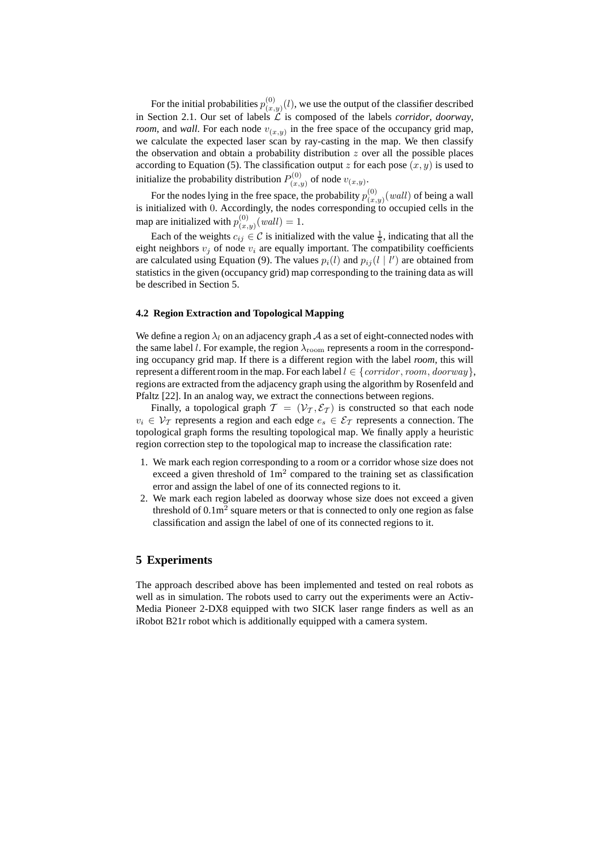For the initial probabilities  $p_{\ell x}^{(0)}$  $\binom{0}{(x,y)}$  (*l*), we use the output of the classifier described in Section 2.1. Our set of labels L is composed of the labels *corridor*, *doorway*, *room*, and *wall*. For each node  $v_{(x,y)}$  in the free space of the occupancy grid map, we calculate the expected laser scan by ray-casting in the map. We then classify the observation and obtain a probability distribution  $z$  over all the possible places according to Equation (5). The classification output z for each pose  $(x, y)$  is used to initialize the probability distribution  $P_{(x)}^{(0)}$  $v_{(x,y)}^{(0)}$  of node  $v_{(x,y)}$ .

For the nodes lying in the free space, the probability  $p_{\ell,r}^{(0)}$  $\binom{0}{(x,y)}$  (*wall*) of being a wall is initialized with 0. Accordingly, the nodes corresponding to occupied cells in the map are initialized with  $p_{\ell x}^{(0)}$  $\binom{0}{(x,y)}(wall) = 1.$ 

Each of the weights  $c_{ij} \in \mathcal{C}$  is initialized with the value  $\frac{1}{8}$ , indicating that all the eight neighbors  $v_i$  of node  $v_i$  are equally important. The compatibility coefficients are calculated using Equation (9). The values  $p_i(l)$  and  $p_{ij}(l \mid l')$  are obtained from statistics in the given (occupancy grid) map corresponding to the training data as will be described in Section 5.

#### **4.2 Region Extraction and Topological Mapping**

We define a region  $\lambda_l$  on an adjacency graph A as a set of eight-connected nodes with the same label l. For example, the region  $\lambda_{\text{room}}$  represents a room in the corresponding occupancy grid map. If there is a different region with the label *room*, this will represent a different room in the map. For each label  $l \in \{corridor, room, doorway\}$ , regions are extracted from the adjacency graph using the algorithm by Rosenfeld and Pfaltz [22]. In an analog way, we extract the connections between regions.

Finally, a topological graph  $\mathcal{T} = (\mathcal{V}_{\mathcal{T}}, \mathcal{E}_{\mathcal{T}})$  is constructed so that each node  $v_i \in V_\mathcal{T}$  represents a region and each edge  $e_s \in \mathcal{E}_\mathcal{T}$  represents a connection. The topological graph forms the resulting topological map. We finally apply a heuristic region correction step to the topological map to increase the classification rate:

- 1. We mark each region corresponding to a room or a corridor whose size does not exceed a given threshold of  $1m^2$  compared to the training set as classification error and assign the label of one of its connected regions to it.
- 2. We mark each region labeled as doorway whose size does not exceed a given threshold of  $0.1\,\mathrm{m}^2$  square meters or that is connected to only one region as false classification and assign the label of one of its connected regions to it.

# **5 Experiments**

The approach described above has been implemented and tested on real robots as well as in simulation. The robots used to carry out the experiments were an Activ-Media Pioneer 2-DX8 equipped with two SICK laser range finders as well as an iRobot B21r robot which is additionally equipped with a camera system.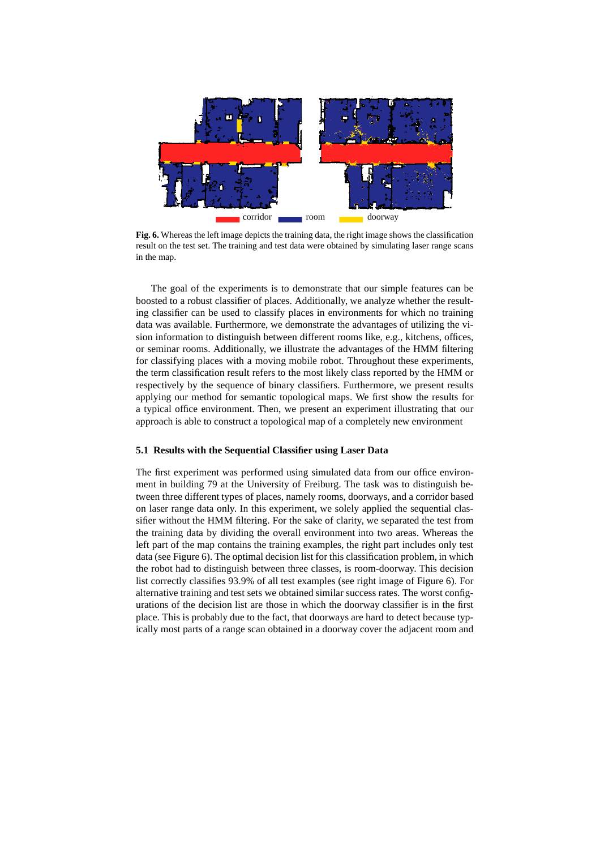

**Fig. 6.** Whereas the left image depicts the training data, the right image shows the classification result on the test set. The training and test data were obtained by simulating laser range scans in the map.

The goal of the experiments is to demonstrate that our simple features can be boosted to a robust classifier of places. Additionally, we analyze whether the resulting classifier can be used to classify places in environments for which no training data was available. Furthermore, we demonstrate the advantages of utilizing the vision information to distinguish between different rooms like, e.g., kitchens, offices, or seminar rooms. Additionally, we illustrate the advantages of the HMM filtering for classifying places with a moving mobile robot. Throughout these experiments, the term classification result refers to the most likely class reported by the HMM or respectively by the sequence of binary classifiers. Furthermore, we present results applying our method for semantic topological maps. We first show the results for a typical office environment. Then, we present an experiment illustrating that our approach is able to construct a topological map of a completely new environment

## **5.1 Results with the Sequential Classifier using Laser Data**

The first experiment was performed using simulated data from our office environment in building 79 at the University of Freiburg. The task was to distinguish between three different types of places, namely rooms, doorways, and a corridor based on laser range data only. In this experiment, we solely applied the sequential classifier without the HMM filtering. For the sake of clarity, we separated the test from the training data by dividing the overall environment into two areas. Whereas the left part of the map contains the training examples, the right part includes only test data (see Figure 6). The optimal decision list for this classification problem, in which the robot had to distinguish between three classes, is room-doorway. This decision list correctly classifies 93.9% of all test examples (see right image of Figure 6). For alternative training and test sets we obtained similar success rates. The worst configurations of the decision list are those in which the doorway classifier is in the first place. This is probably due to the fact, that doorways are hard to detect because typically most parts of a range scan obtained in a doorway cover the adjacent room and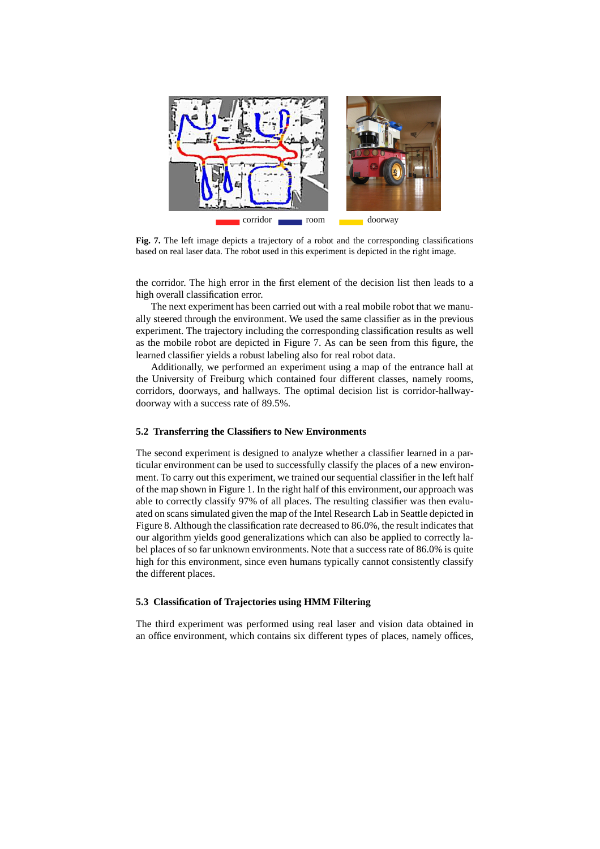

**Fig. 7.** The left image depicts a trajectory of a robot and the corresponding classifications based on real laser data. The robot used in this experiment is depicted in the right image.

the corridor. The high error in the first element of the decision list then leads to a high overall classification error.

The next experiment has been carried out with a real mobile robot that we manually steered through the environment. We used the same classifier as in the previous experiment. The trajectory including the corresponding classification results as well as the mobile robot are depicted in Figure 7. As can be seen from this figure, the learned classifier yields a robust labeling also for real robot data.

Additionally, we performed an experiment using a map of the entrance hall at the University of Freiburg which contained four different classes, namely rooms, corridors, doorways, and hallways. The optimal decision list is corridor-hallwaydoorway with a success rate of 89.5%.

#### **5.2 Transferring the Classifiers to New Environments**

The second experiment is designed to analyze whether a classifier learned in a particular environment can be used to successfully classify the places of a new environment. To carry out this experiment, we trained our sequential classifier in the left half of the map shown in Figure 1. In the right half of this environment, our approach was able to correctly classify 97% of all places. The resulting classifier was then evaluated on scans simulated given the map of the Intel Research Lab in Seattle depicted in Figure 8. Although the classification rate decreased to 86.0%, the result indicates that our algorithm yields good generalizations which can also be applied to correctly label places of so far unknown environments. Note that a success rate of 86.0% is quite high for this environment, since even humans typically cannot consistently classify the different places.

#### **5.3 Classification of Trajectories using HMM Filtering**

The third experiment was performed using real laser and vision data obtained in an office environment, which contains six different types of places, namely offices,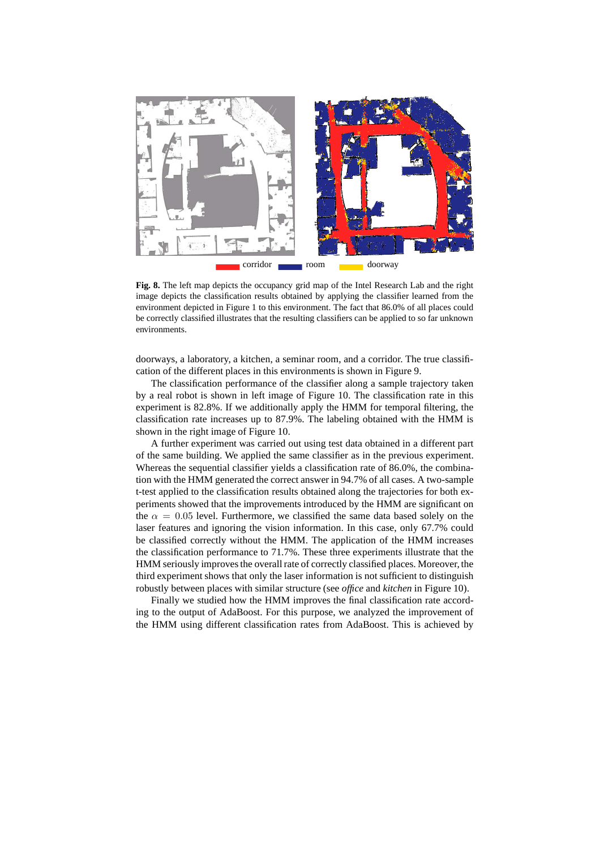

**Fig. 8.** The left map depicts the occupancy grid map of the Intel Research Lab and the right image depicts the classification results obtained by applying the classifier learned from the environment depicted in Figure 1 to this environment. The fact that 86.0% of all places could be correctly classified illustrates that the resulting classifiers can be applied to so far unknown environments.

doorways, a laboratory, a kitchen, a seminar room, and a corridor. The true classification of the different places in this environments is shown in Figure 9.

The classification performance of the classifier along a sample trajectory taken by a real robot is shown in left image of Figure 10. The classification rate in this experiment is 82.8%. If we additionally apply the HMM for temporal filtering, the classification rate increases up to 87.9%. The labeling obtained with the HMM is shown in the right image of Figure 10.

A further experiment was carried out using test data obtained in a different part of the same building. We applied the same classifier as in the previous experiment. Whereas the sequential classifier yields a classification rate of 86.0%, the combination with the HMM generated the correct answer in 94.7% of all cases. A two-sample t-test applied to the classification results obtained along the trajectories for both experiments showed that the improvements introduced by the HMM are significant on the  $\alpha = 0.05$  level. Furthermore, we classified the same data based solely on the laser features and ignoring the vision information. In this case, only 67.7% could be classified correctly without the HMM. The application of the HMM increases the classification performance to 71.7%. These three experiments illustrate that the HMM seriously improves the overall rate of correctly classified places. Moreover, the third experiment shows that only the laser information is not sufficient to distinguish robustly between places with similar structure (see *office* and *kitchen* in Figure 10).

Finally we studied how the HMM improves the final classification rate according to the output of AdaBoost. For this purpose, we analyzed the improvement of the HMM using different classification rates from AdaBoost. This is achieved by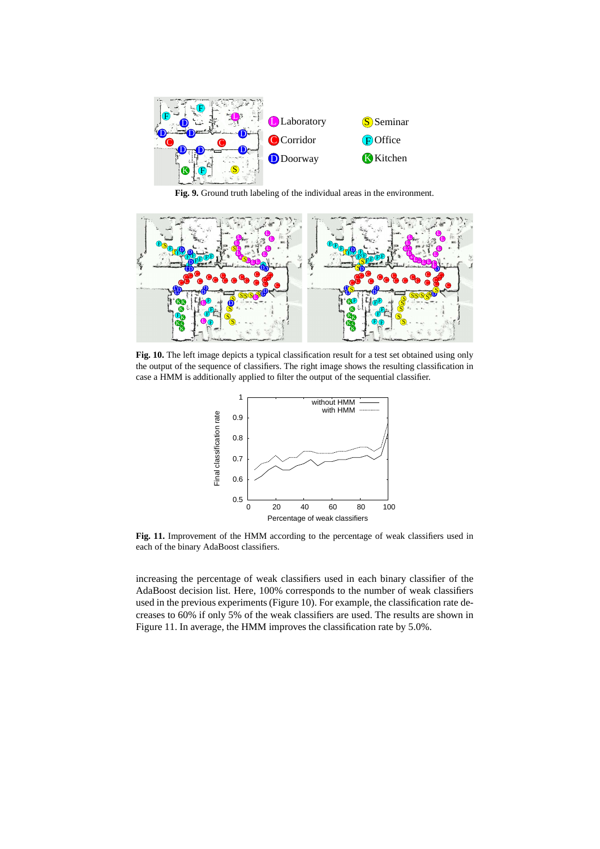

**Fig. 9.** Ground truth labeling of the individual areas in the environment.



**Fig. 10.** The left image depicts a typical classification result for a test set obtained using only the output of the sequence of classifiers. The right image shows the resulting classification in case a HMM is additionally applied to filter the output of the sequential classifier.



**Fig. 11.** Improvement of the HMM according to the percentage of weak classifiers used in each of the binary AdaBoost classifiers.

increasing the percentage of weak classifiers used in each binary classifier of the AdaBoost decision list. Here, 100% corresponds to the number of weak classifiers used in the previous experiments (Figure 10). For example, the classification rate decreases to 60% if only 5% of the weak classifiers are used. The results are shown in Figure 11. In average, the HMM improves the classification rate by 5.0%.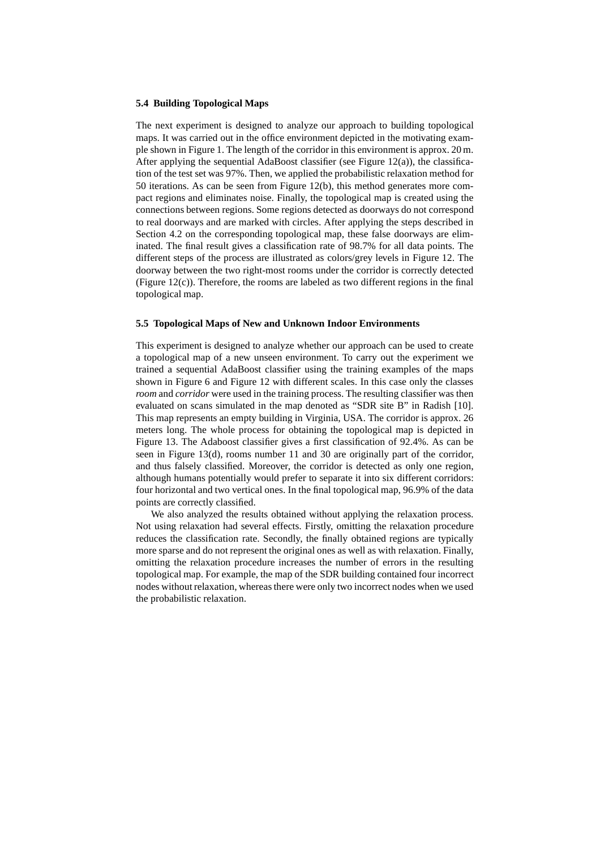#### **5.4 Building Topological Maps**

The next experiment is designed to analyze our approach to building topological maps. It was carried out in the office environment depicted in the motivating example shown in Figure 1. The length of the corridor in this environment is approx. 20 m. After applying the sequential AdaBoost classifier (see Figure 12(a)), the classification of the test set was 97%. Then, we applied the probabilistic relaxation method for 50 iterations. As can be seen from Figure 12(b), this method generates more compact regions and eliminates noise. Finally, the topological map is created using the connections between regions. Some regions detected as doorways do not correspond to real doorways and are marked with circles. After applying the steps described in Section 4.2 on the corresponding topological map, these false doorways are eliminated. The final result gives a classification rate of 98.7% for all data points. The different steps of the process are illustrated as colors/grey levels in Figure 12. The doorway between the two right-most rooms under the corridor is correctly detected (Figure 12(c)). Therefore, the rooms are labeled as two different regions in the final topological map.

#### **5.5 Topological Maps of New and Unknown Indoor Environments**

This experiment is designed to analyze whether our approach can be used to create a topological map of a new unseen environment. To carry out the experiment we trained a sequential AdaBoost classifier using the training examples of the maps shown in Figure 6 and Figure 12 with different scales. In this case only the classes *room* and *corridor* were used in the training process. The resulting classifier was then evaluated on scans simulated in the map denoted as "SDR site B" in Radish [10]. This map represents an empty building in Virginia, USA. The corridor is approx. 26 meters long. The whole process for obtaining the topological map is depicted in Figure 13. The Adaboost classifier gives a first classification of 92.4%. As can be seen in Figure 13(d), rooms number 11 and 30 are originally part of the corridor, and thus falsely classified. Moreover, the corridor is detected as only one region, although humans potentially would prefer to separate it into six different corridors: four horizontal and two vertical ones. In the final topological map, 96.9% of the data points are correctly classified.

We also analyzed the results obtained without applying the relaxation process. Not using relaxation had several effects. Firstly, omitting the relaxation procedure reduces the classification rate. Secondly, the finally obtained regions are typically more sparse and do not represent the original ones as well as with relaxation. Finally, omitting the relaxation procedure increases the number of errors in the resulting topological map. For example, the map of the SDR building contained four incorrect nodes without relaxation, whereas there were only two incorrect nodes when we used the probabilistic relaxation.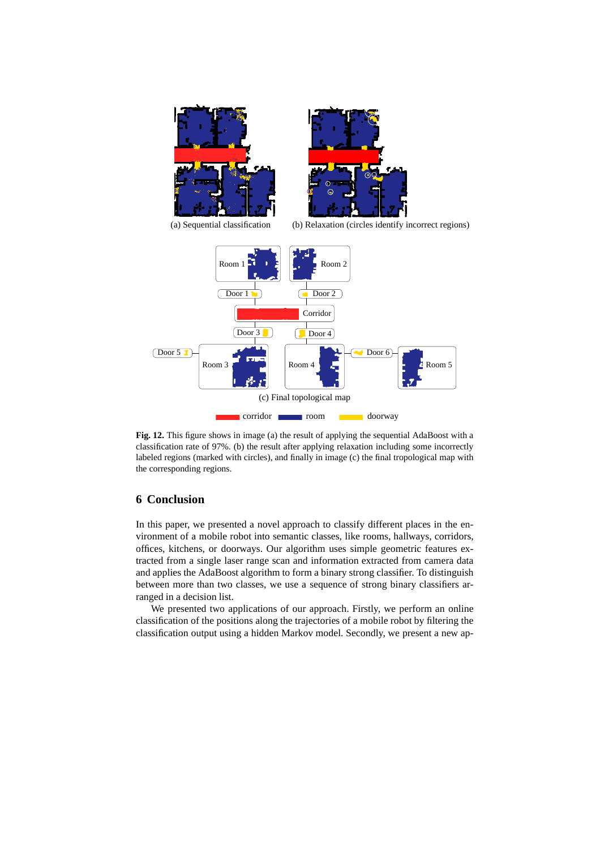



(a) Sequential classification (b) Relaxation (circles identify incorrect regions)



**Fig. 12.** This figure shows in image (a) the result of applying the sequential AdaBoost with a classification rate of 97%. (b) the result after applying relaxation including some incorrectly labeled regions (marked with circles), and finally in image (c) the final tropological map with the corresponding regions.

# **6 Conclusion**

In this paper, we presented a novel approach to classify different places in the environment of a mobile robot into semantic classes, like rooms, hallways, corridors, offices, kitchens, or doorways. Our algorithm uses simple geometric features extracted from a single laser range scan and information extracted from camera data and applies the AdaBoost algorithm to form a binary strong classifier. To distinguish between more than two classes, we use a sequence of strong binary classifiers arranged in a decision list.

We presented two applications of our approach. Firstly, we perform an online classification of the positions along the trajectories of a mobile robot by filtering the classification output using a hidden Markov model. Secondly, we present a new ap-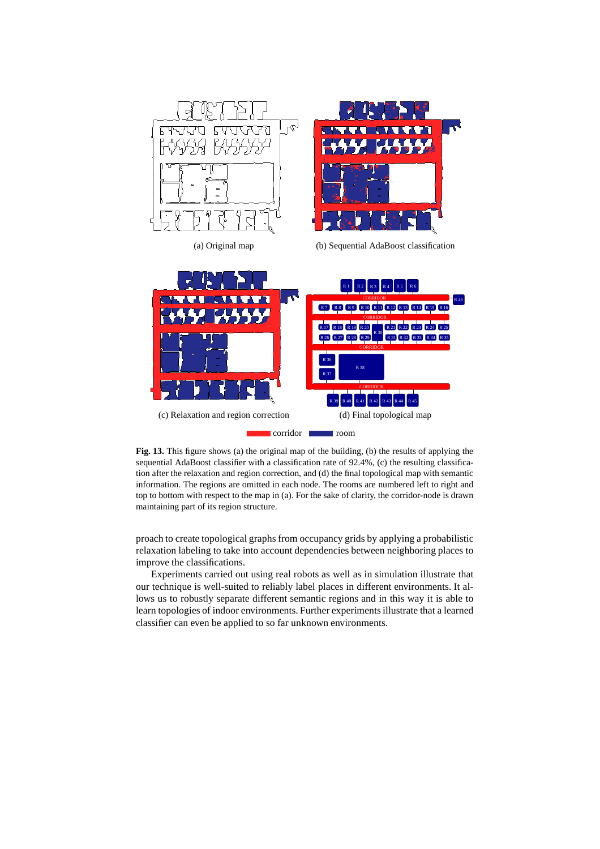



(a) Original map (b) Sequential AdaBoost classification



Fig. 13. This figure shows (a) the original map of the building, (b) the results of applying the sequential AdaBoost classifier with a classification rate of 92.4%, (c) the resulting classification after the relaxation and region correction, and (d) the final topological map with semantic information. The regions are omitted in each node. The rooms are numbered left to right and top to bottom with respect to the map in (a). For the sake of clarity, the corridor-node is drawn maintaining part of its region structure.

proach to create topological graphs from occupancy grids by applying a probabilistic relaxation labeling to take into account dependencies between neighboring places to improve the classifications.

Experiments carried out using real robots as well as in simulation illustrate that our technique is well-suited to reliably label places in different environments. It allows us to robustly separate different semantic regions and in this way it is able to learn topologies of indoor environments. Further experiments illustrate that a learned classifier can even be applied to so far unknown environments.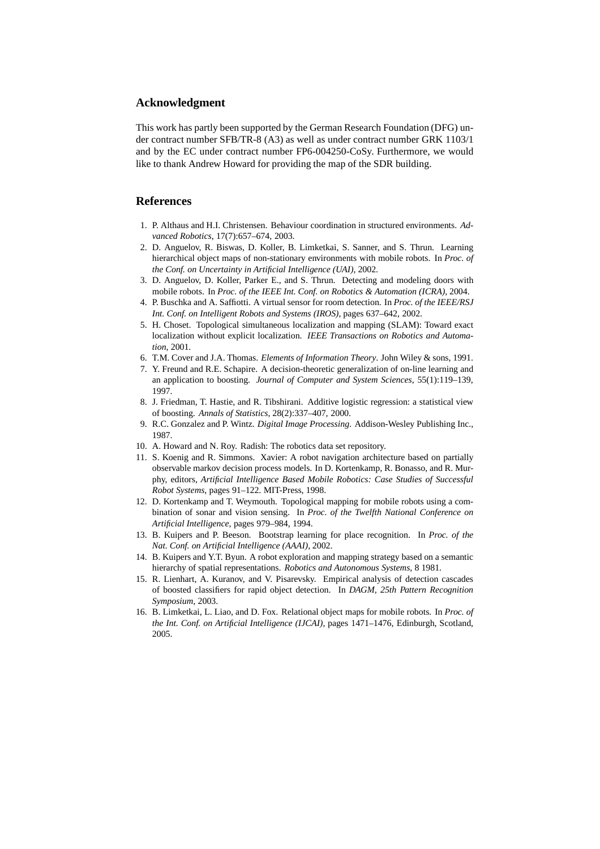# **Acknowledgment**

This work has partly been supported by the German Research Foundation (DFG) under contract number SFB/TR-8 (A3) as well as under contract number GRK 1103/1 and by the EC under contract number FP6-004250-CoSy. Furthermore, we would like to thank Andrew Howard for providing the map of the SDR building.

## **References**

- 1. P. Althaus and H.I. Christensen. Behaviour coordination in structured environments. *Advanced Robotics*, 17(7):657–674, 2003.
- 2. D. Anguelov, R. Biswas, D. Koller, B. Limketkai, S. Sanner, and S. Thrun. Learning hierarchical object maps of non-stationary environments with mobile robots. In *Proc. of the Conf. on Uncertainty in Artificial Intelligence (UAI)*, 2002.
- 3. D. Anguelov, D. Koller, Parker E., and S. Thrun. Detecting and modeling doors with mobile robots. In *Proc. of the IEEE Int. Conf. on Robotics & Automation (ICRA)*, 2004.
- 4. P. Buschka and A. Saffiotti. A virtual sensor for room detection. In *Proc. of the IEEE/RSJ Int. Conf. on Intelligent Robots and Systems (IROS)*, pages 637–642, 2002.
- 5. H. Choset. Topological simultaneous localization and mapping (SLAM): Toward exact localization without explicit localization. *IEEE Transactions on Robotics and Automation*, 2001.
- 6. T.M. Cover and J.A. Thomas. *Elements of Information Theory*. John Wiley & sons, 1991.
- 7. Y. Freund and R.E. Schapire. A decision-theoretic generalization of on-line learning and an application to boosting. *Journal of Computer and System Sciences*, 55(1):119–139, 1997.
- 8. J. Friedman, T. Hastie, and R. Tibshirani. Additive logistic regression: a statistical view of boosting. *Annals of Statistics*, 28(2):337–407, 2000.
- 9. R.C. Gonzalez and P. Wintz. *Digital Image Processing*. Addison-Wesley Publishing Inc., 1987.
- 10. A. Howard and N. Roy. Radish: The robotics data set repository.
- 11. S. Koenig and R. Simmons. Xavier: A robot navigation architecture based on partially observable markov decision process models. In D. Kortenkamp, R. Bonasso, and R. Murphy, editors, *Artificial Intelligence Based Mobile Robotics: Case Studies of Successful Robot Systems*, pages 91–122. MIT-Press, 1998.
- 12. D. Kortenkamp and T. Weymouth. Topological mapping for mobile robots using a combination of sonar and vision sensing. In *Proc. of the Twelfth National Conference on Artificial Intelligence*, pages 979–984, 1994.
- 13. B. Kuipers and P. Beeson. Bootstrap learning for place recognition. In *Proc. of the Nat. Conf. on Artificial Intelligence (AAAI)*, 2002.
- 14. B. Kuipers and Y.T. Byun. A robot exploration and mapping strategy based on a semantic hierarchy of spatial representations. *Robotics and Autonomous Systems*, 8 1981.
- 15. R. Lienhart, A. Kuranov, and V. Pisarevsky. Empirical analysis of detection cascades of boosted classifiers for rapid object detection. In *DAGM, 25th Pattern Recognition Symposium*, 2003.
- 16. B. Limketkai, L. Liao, and D. Fox. Relational object maps for mobile robots. In *Proc. of the Int. Conf. on Artificial Intelligence (IJCAI)*, pages 1471–1476, Edinburgh, Scotland, 2005.